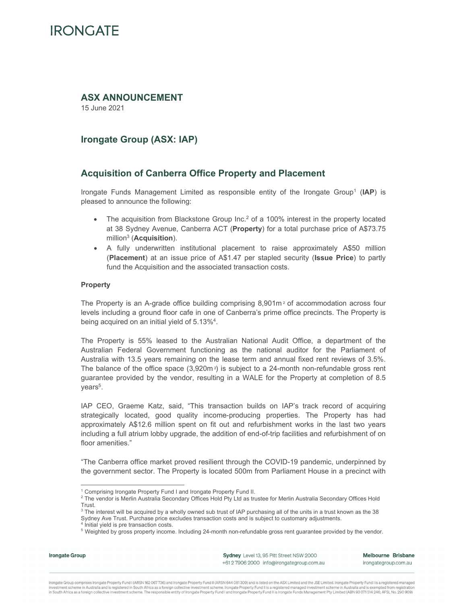### **ASX ANNOUNCEMENT**

15 June 2021

## **Irongate Group (ASX: IAP)**

### **Acquisition of Canberra Office Property and Placement**

Irongate Funds Management Limited as responsible entity of the Irongate Group1 (**IAP**) is pleased to announce the following:

- The acquisition from Blackstone Group  $\ln c$ .<sup>2</sup> of a 100% interest in the property located at 38 Sydney Avenue, Canberra ACT (**Property**) for a total purchase price of A\$73.75 million3 (**Acquisition**).
- A fully underwritten institutional placement to raise approximately A\$50 million (**Placement**) at an issue price of A\$1.47 per stapled security (**Issue Price**) to partly fund the Acquisition and the associated transaction costs.

### **Property**

The Property is an A-grade office building comprising 8,901m² of accommodation across four levels including a ground floor cafe in one of Canberra's prime office precincts. The Property is being acquired on an initial yield of 5.13%4.

The Property is 55% leased to the Australian National Audit Office, a department of the Australian Federal Government functioning as the national auditor for the Parliament of Australia with 13.5 years remaining on the lease term and annual fixed rent reviews of 3.5%. The balance of the office space  $(3,920m<sup>2</sup>)$  is subject to a 24-month non-refundable gross rent guarantee provided by the vendor, resulting in a WALE for the Property at completion of 8.5 years<sup>5</sup>.

IAP CEO, Graeme Katz, said, "This transaction builds on IAP's track record of acquiring strategically located, good quality income-producing properties. The Property has had approximately A\$12.6 million spent on fit out and refurbishment works in the last two years including a full atrium lobby upgrade, the addition of end-of-trip facilities and refurbishment of on floor amenities."

"The Canberra office market proved resilient through the COVID-19 pandemic, underpinned by the government sector. The Property is located 500m from Parliament House in a precinct with

**Irongate Group** 

Sydney Level 13, 95 Pitt Street NSW 2000 +61 2 7906 2000 info@irongategroup.com.au Melbourne Brisbane irongategroup.com.au

<sup>&</sup>lt;sup>1</sup> Comprising Irongate Property Fund I and Irongate Property Fund II.

 $^2$  The vendor is Merlin Australia Secondary Offices Hold Pty Ltd as trustee for Merlin Australia Secondary Offices Hold Trust.

 $^3$  The interest will be acquired by a wholly owned sub trust of IAP purchasing all of the units in a trust known as the 38 Sydney Ave Trust. Purchase price excludes transaction costs and is subject to customary adjustments.

<sup>4</sup> Initial yield is pre transaction costs.

<sup>&</sup>lt;sup>5</sup> Weighted by gross property income. Including 24-month non-refundable gross rent guarantee provided by the vendor.

Irongate Group comprises Irongate Property Fund I (ARSN 162 067736) and Irongate Property Fund II (ARSN 644 081 309) and is listed on the ASX Limited and the JSE Limited. Irongate Property Fund I is a registered managed investment scheme in Australia and is registered in South Africa as a foreign collective investment scheme. Irongate Property Fund II is a registered managed investment scheme in Australia and is exempted from registration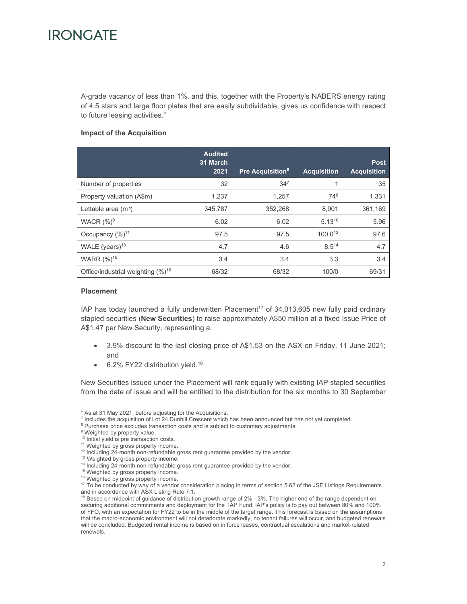A-grade vacancy of less than 1%, and this, together with the Property's NABERS energy rating of 4.5 stars and large floor plates that are easily subdividable, gives us confidence with respect to future leasing activities."

### **Impact of the Acquisition**

|                                         | <b>Audited</b><br>31 March<br>2021 | <b>Pre Acquisition<sup>6</sup></b> | <b>Acquisition</b> | <b>Post</b><br><b>Acquisition</b> |
|-----------------------------------------|------------------------------------|------------------------------------|--------------------|-----------------------------------|
| Number of properties                    | 32                                 | 34 <sup>7</sup>                    |                    | 35                                |
| Property valuation (A\$m)               | 1,237                              | 1,257                              | 748                | 1,331                             |
| Lettable area $(m2)$                    | 345,787                            | 352,268                            | 8,901              | 361,169                           |
| WACR $(%)^9$                            | 6.02                               | 6.02                               | $5.13^{10}$        | 5.96                              |
| Occupancy $(\%)^{11}$                   | 97.5                               | 97.5                               | 100.012            | 97.6                              |
| WALE (years) <sup>13</sup>              | 4.7                                | 4.6                                | 8.514              | 4.7                               |
| WARR (%) <sup>15</sup>                  | 3.4                                | 3.4                                | 3.3                | 3.4                               |
| Office/industrial weighting $(\%)^{16}$ | 68/32                              | 68/32                              | 100/0              | 69/31                             |

#### **Placement**

IAP has today launched a fully underwritten Placement<sup>17</sup> of 34,013,605 new fully paid ordinary stapled securities (**New Securities**) to raise approximately A\$50 million at a fixed Issue Price of A\$1.47 per New Security, representing a:

- 3.9% discount to the last closing price of A\$1.53 on the ASX on Friday, 11 June 2021; and
- 6.2% FY22 distribution yield.<sup>18</sup>

New Securities issued under the Placement will rank equally with existing IAP stapled securities from the date of issue and will be entitled to the distribution for the six months to 30 September

 $6$  As at 31 May 2021, before adjusting for the Acquisitions.

<sup>&</sup>lt;sup>7</sup> Includes the acquisition of Lot 24 Dunhill Crescent which has been announced but has not yet completed.

<sup>&</sup>lt;sup>8</sup> Purchase price excludes transaction costs and is subject to customary adjustments.

<sup>&</sup>lt;sup>9</sup> Weighted by property value.

<sup>&</sup>lt;sup>10</sup> Initial yield is pre transaction costs.

<sup>&</sup>lt;sup>11</sup> Weighted by gross property income.

<sup>&</sup>lt;sup>12</sup> Including 24-month non-refundable gross rent guarantee provided by the vendor.

<sup>&</sup>lt;sup>13</sup> Weighted by gross property income.

<sup>&</sup>lt;sup>14</sup> Including 24-month non-refundable gross rent guarantee provided by the vendor.

<sup>15</sup> Weighted by gross property income.

<sup>&</sup>lt;sup>16</sup> Weighted by gross property income.

<sup>&</sup>lt;sup>17</sup> To be conducted by way of a vendor consideration placing in terms of section 5.62 of the JSE Listings Requirements and in accordance with ASX Listing Rule 7.1.

 $18$  Based on midpoint of guidance of distribution growth range of  $2\%$  -  $3\%$ . The higher end of the range dependent on securing additional commitments and deployment for the TAP Fund. lAP's policy is to pay out between 80% and 100% of FFO, with an expectation for FY22 to be in the middle of the target range. This forecast is based on the assumptions that the macro-economic environment will not deteriorate markedly, no tenant failures will occur, and budgeted renewals will be concluded. Budgeted rental income is based on in force leases, contractual escalations and market-related renewals.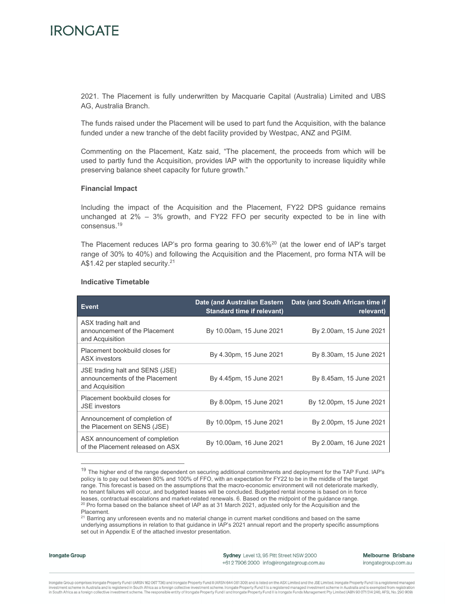2021. The Placement is fully underwritten by Macquarie Capital (Australia) Limited and UBS AG, Australia Branch.

The funds raised under the Placement will be used to part fund the Acquisition, with the balance funded under a new tranche of the debt facility provided by Westpac, ANZ and PGIM.

Commenting on the Placement, Katz said, "The placement, the proceeds from which will be used to partly fund the Acquisition, provides IAP with the opportunity to increase liquidity while preserving balance sheet capacity for future growth."

#### **Financial Impact**

Including the impact of the Acquisition and the Placement, FY22 DPS guidance remains unchanged at  $2\% - 3\%$  growth, and FY22 FFO per security expected to be in line with consensus.19

The Placement reduces IAP's pro forma gearing to  $30.6\%$ <sup>20</sup> (at the lower end of IAP's target range of 30% to 40%) and following the Acquisition and the Placement, pro forma NTA will be A\$1.42 per stapled security.<sup>21</sup>

| <b>Event</b>                                                                         | Date (and Australian Eastern<br><b>Standard time if relevant)</b> | Date (and South African time if<br>relevant) |
|--------------------------------------------------------------------------------------|-------------------------------------------------------------------|----------------------------------------------|
| ASX trading halt and<br>announcement of the Placement<br>and Acquisition             | By 10.00am, 15 June 2021                                          | By 2.00am, 15 June 2021                      |
| Placement bookbuild closes for<br><b>ASX</b> investors                               | By 4.30pm, 15 June 2021                                           | By 8.30am, 15 June 2021                      |
| JSE trading halt and SENS (JSE)<br>announcements of the Placement<br>and Acquisition | By 4.45pm, 15 June 2021                                           | By 8.45am, 15 June 2021                      |
| Placement bookbuild closes for<br><b>JSE</b> investors                               | By 8.00pm, 15 June 2021                                           | By 12.00pm, 15 June 2021                     |
| Announcement of completion of<br>the Placement on SENS (JSE)                         | By 10.00pm, 15 June 2021                                          | By 2.00pm, 15 June 2021                      |
| ASX announcement of completion<br>of the Placement released on ASX                   | By 10.00am, 16 June 2021                                          | By 2.00am, 16 June 2021                      |

#### **Indicative Timetable**

#### **Irongate Group**

Sydney Level 13, 95 Pitt Street NSW 2000 +61 2 7906 2000 info@irongategroup.com.au Melbourne Brisbane irongategroup.com.au

<sup>19</sup> The higher end of the range dependent on securing additional commitments and deployment for the TAP Fund. lAP's policy is to pay out between 80% and 100% of FFO, with an expectation for FY22 to be in the middle of the target range. This forecast is based on the assumptions that the macro-economic environment will not deteriorate markedly, no tenant failures will occur, and budgeted leases will be concluded. Budgeted rental income is based on in force leases, contractual escalations and market-related renewals. 6. Based on the midpoint of the guidance range.  $20$  Pro forma based on the balance sheet of IAP as at 31 March 2021, adjusted only for the Acquisition and the Placement.

<sup>&</sup>lt;sup>21</sup> Barring any unforeseen events and no material change in current market conditions and based on the same underlying assumptions in relation to that guidance in IAP's 2021 annual report and the property specific assumptions set out in Appendix E of the attached investor presentation.

Irongate Group comprises Irongate Property Fund I (ARSN 162 067736) and Irongate Property Fund II (ARSN 644 081 309) and is listed on the ASX Limited and the JSE Limited. Irongate Property Fund I is a registered managed investment scheme in Australia and is registered in South Africa as a foreign collective investment scheme. Irongate Property Fund II is a registered managed investment scheme in Australia and is resumpted from registratio